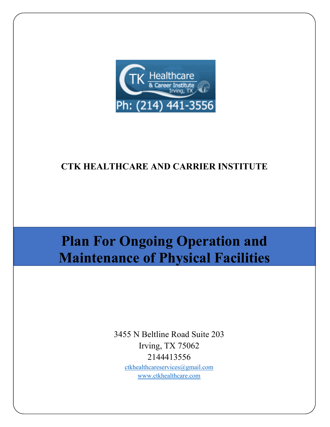

## **CTK HEALTHCARE AND CARRIER INSTITUTE**

# **Plan For Ongoing Operation and Maintenance of Physical Facilities**

3455 N Beltline Road Suite 203 Irving, TX 75062 2144413556

[ctkhealthcareservices@gmail.com](mailto:ctkhealthcareservices@gmail.com) [www.ctkhealthcare.com](http://www.ctkhealthcare.com/)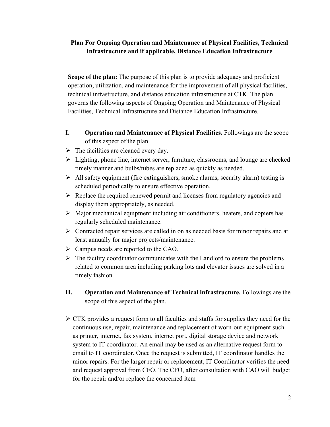### **Plan For Ongoing Operation and Maintenance of Physical Facilities, Technical Infrastructure and if applicable, Distance Education Infrastructure**

**Scope of the plan:** The purpose of this plan is to provide adequacy and proficient operation, utilization, and maintenance for the improvement of all physical facilities, technical infrastructure, and distance education infrastructure at CTK. The plan governs the following aspects of Ongoing Operation and Maintenance of Physical Facilities, Technical Infrastructure and Distance Education Infrastructure.

- **I. Operation and Maintenance of Physical Facilities.** Followings are the scope of this aspect of the plan.
- $\triangleright$  The facilities are cleaned every day.
- $\triangleright$  Lighting, phone line, internet server, furniture, classrooms, and lounge are checked timely manner and bulbs/tubes are replaced as quickly as needed.
- $\triangleright$  All safety equipment (fire extinguishers, smoke alarms, security alarm) testing is scheduled periodically to ensure effective operation.
- $\triangleright$  Replace the required renewed permit and licenses from regulatory agencies and display them appropriately, as needed.
- $\triangleright$  Major mechanical equipment including air conditioners, heaters, and copiers has regularly scheduled maintenance.
- $\triangleright$  Contracted repair services are called in on as needed basis for minor repairs and at least annually for major projects/maintenance.
- > Campus needs are reported to the CAO.
- $\triangleright$  The facility coordinator communicates with the Landlord to ensure the problems related to common area including parking lots and elevator issues are solved in a timely fashion.
- **II. Operation and Maintenance of Technical infrastructure.** Followings are the scope of this aspect of the plan.
- $\triangleright$  CTK provides a request form to all faculties and staffs for supplies they need for the continuous use, repair, maintenance and replacement of worn-out equipment such as printer, internet, fax system, internet port, digital storage device and network system to IT coordinator. An email may be used as an alternative request form to email to IT coordinator. Once the request is submitted, IT coordinator handles the minor repairs. For the larger repair or replacement, IT Coordinator verifies the need and request approval from CFO. The CFO, after consultation with CAO will budget for the repair and/or replace the concerned item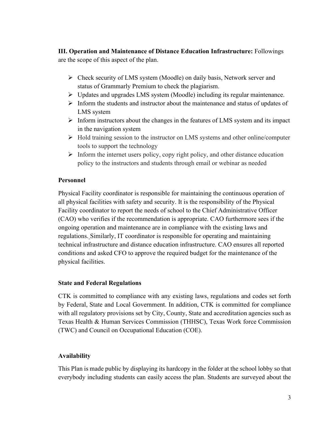**III. Operation and Maintenance of Distance Education Infrastructure:** Followings are the scope of this aspect of the plan.

- $\triangleright$  Check security of LMS system (Moodle) on daily basis, Network server and status of Grammarly Premium to check the plagiarism.
- Updates and upgrades LMS system (Moodle) including its regular maintenance.
- $\triangleright$  Inform the students and instructor about the maintenance and status of updates of LMS system
- $\triangleright$  Inform instructors about the changes in the features of LMS system and its impact in the navigation system
- $\triangleright$  Hold training session to the instructor on LMS systems and other online/computer tools to support the technology
- $\triangleright$  Inform the internet users policy, copy right policy, and other distance education policy to the instructors and students through email or webinar as needed

#### **Personnel**

Physical Facility coordinator is responsible for maintaining the continuous operation of all physical facilities with safety and security. It is the responsibility of the Physical Facility coordinator to report the needs of school to the Chief Administrative Officer (CAO) who verifies if the recommendation is appropriate. CAO furthermore sees if the ongoing operation and maintenance are in compliance with the existing laws and regulations. Similarly, IT coordinator is responsible for operating and maintaining technical infrastructure and distance education infrastructure. CAO ensures all reported conditions and asked CFO to approve the required budget for the maintenance of the physical facilities.

#### **State and Federal Regulations**

CTK is committed to compliance with any existing laws, regulations and codes set forth by Federal, State and Local Government. In addition, CTK is committed for compliance with all regulatory provisions set by City, County, State and accreditation agencies such as Texas Health & Human Services Commission (THHSC), Texas Work force Commission (TWC) and Council on Occupational Education (COE).

#### **Availability**

This Plan is made public by displaying its hardcopy in the folder at the school lobby so that everybody including students can easily access the plan. Students are surveyed about the